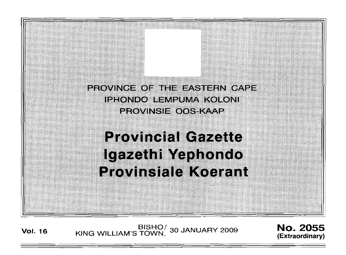PROVINCE OF THE EASTERN CAPE IPHONDO BEMPUMA KORONI EROVINGIETOOGEKAAP

**Provincial Gazette** Igazethi Yephondo **Provinsiale Koerant** 

**Vol. 16** BISHO/ 30 JANUARY 2009 **NO. 2055**<br>**Extraordinary** KING WILLIAM'S TOWN,

**(Extraordinary)**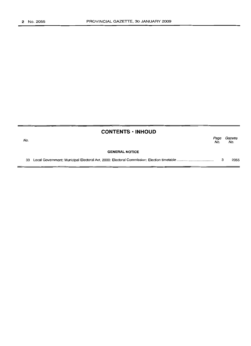| Gazette<br>No. |
|----------------|
|                |
| 2055           |
|                |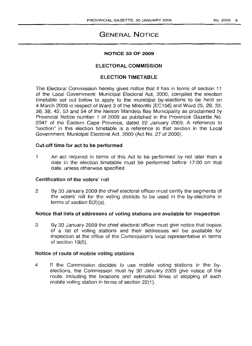# **GENERAL NOTICE**

# **NOTICE 33 OF 2009**

# ELECTORAL COMMISSION

### ELECTION TIMETABLE

The Electoral Commission hereby gives notice that it has in terms of section 11 of the Local Government: Municipal Electoral Act, 2000, compiled the election timetable set out below to apply to the municipal by-elections to be held on 4 March 2009 in respect of Ward 3 of the Mhlontlo [EC156] and Ward 25, 29, 33, 36, 38, 42, 53 and 54 of the Nelson Mandela Bay Municipality as proclaimed by Provincial Notice number 1 of 2009 as published in the Provincial Gazette No. 2047 of the Eastern Cape Province, dated 22 January 2009. A reference to "section" in this election timetable is a reference to that section in the Local Government: Municipal Electoral Act, 2000 (Act No. 27 of 2000).

#### Cut-off time for act to be performed

1 An act required in terms of this Act to be performed by not later than a date in the election timetable must be performed before 17:00 on that date, unless otherwise specified.

# Certification of the voters' roll

2 By 30 January 2009 the chief electoral officer must certify the segments of the voters' roll for the voting districts to be used in the by-elections in terms of section  $6(2)(a)$ .

# Notice that lists of addresses of voting stations are available for inspection

3 By 30 January 2009 the chief electoral officer must give notice that copies of a list of voting stations and their addresses will be available for inspection at the office of the Commission's local representative in terms of section 19(5).

#### Notice of route of mobile voting stations

4 If the Commission decides to use mobile voting stations in the byelections, the Commission must by 30 January 2009 give notice of the route, including the locations and estimated times of stopping of each mobile voting station in terms of section 22(1).